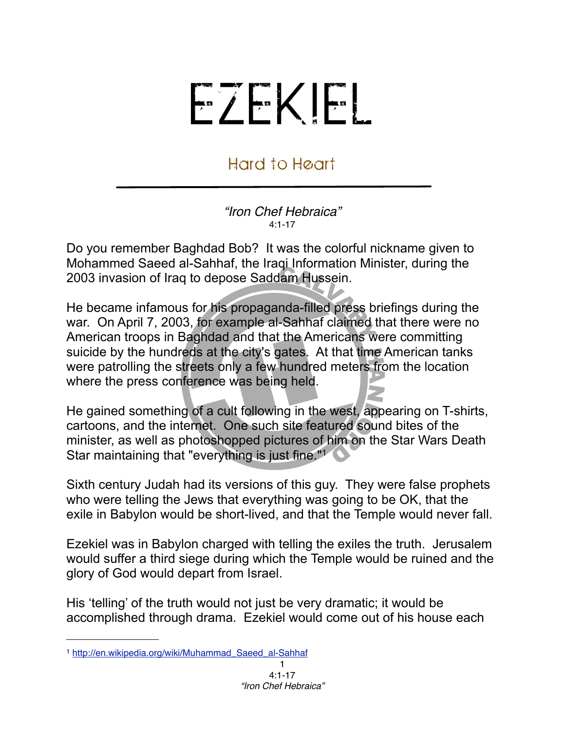## EZEKIEL

## Hard to Heart

## *"Iron Chef Hebraica"*  $A.1 - 17$

Do you remember Baghdad Bob? It was the colorful nickname given to Mohammed Saeed al-Sahhaf, the Iraqi Information Minister, during the 2003 invasion of Iraq to depose Saddam Hussein.

He became infamous for his propaganda-filled press briefings during the war. On April 7, 2003, for example al-Sahhaf claimed that there were no American troops in Baghdad and that the Americans were committing suicide by the hundreds at the city's gates. At that time American tanks were patrolling the streets only a few hundred meters from the location where the press conference was being held.

He gained something of a cult following in the west, appearing on T-shirts, cartoons, and the internet. One such site featured sound bites of the minister, as well as photoshopped pictures of him on the Star Wars Death Star maintaining that "everything is just fine."<sup>[1](#page-0-0)</sup>

Sixth century Judah had its versions of this guy. They were false prophets who were telling the Jews that everything was going to be OK, that the exile in Babylon would be short-lived, and that the Temple would never fall.

Ezekiel was in Babylon charged with telling the exiles the truth. Jerusalem would suffer a third siege during which the Temple would be ruined and the glory of God would depart from Israel.

His 'telling' of the truth would not just be very dramatic; it would be accomplished through drama. Ezekiel would come out of his house each

<span id="page-0-0"></span><sup>1</sup> [http://en.wikipedia.org/wiki/Muhammad\\_Saeed\\_al-Sahhaf](http://en.wikipedia.org/wiki/Muhammad_Saeed_al-Sahhaf)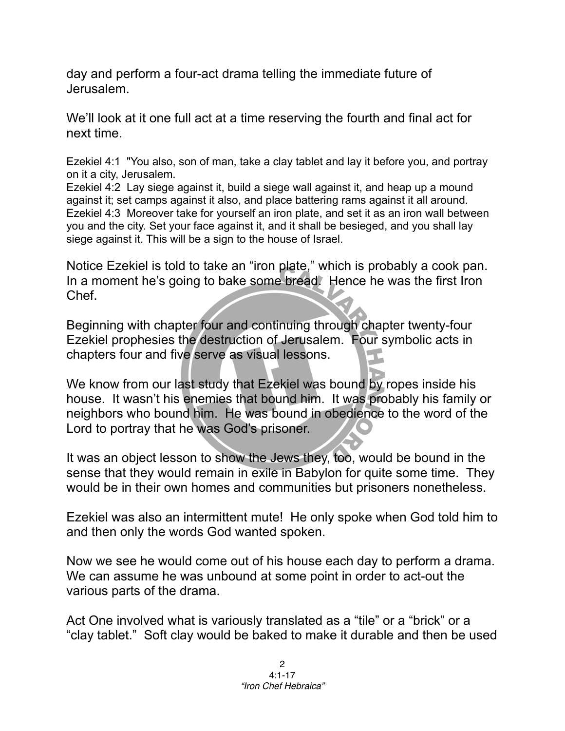day and perform a four-act drama telling the immediate future of Jerusalem.

We'll look at it one full act at a time reserving the fourth and final act for next time.

Ezekiel 4:1 "You also, son of man, take a clay tablet and lay it before you, and portray on it a city, Jerusalem.

Ezekiel 4:2 Lay siege against it, build a siege wall against it, and heap up a mound against it; set camps against it also, and place battering rams against it all around. Ezekiel 4:3 Moreover take for yourself an iron plate, and set it as an iron wall between you and the city. Set your face against it, and it shall be besieged, and you shall lay siege against it. This will be a sign to the house of Israel.

Notice Ezekiel is told to take an "iron plate," which is probably a cook pan. In a moment he's going to bake some bread. Hence he was the first Iron Chef.

Beginning with chapter four and continuing through chapter twenty-four Ezekiel prophesies the destruction of Jerusalem. Four symbolic acts in chapters four and five serve as visual lessons.

We know from our last study that Ezekiel was bound by ropes inside his house. It wasn't his enemies that bound him. It was probably his family or neighbors who bound him. He was bound in obedience to the word of the Lord to portray that he was God's prisoner.

It was an object lesson to show the Jews they, too, would be bound in the sense that they would remain in exile in Babylon for quite some time. They would be in their own homes and communities but prisoners nonetheless.

Ezekiel was also an intermittent mute! He only spoke when God told him to and then only the words God wanted spoken.

Now we see he would come out of his house each day to perform a drama. We can assume he was unbound at some point in order to act-out the various parts of the drama.

Act One involved what is variously translated as a "tile" or a "brick" or a "clay tablet." Soft clay would be baked to make it durable and then be used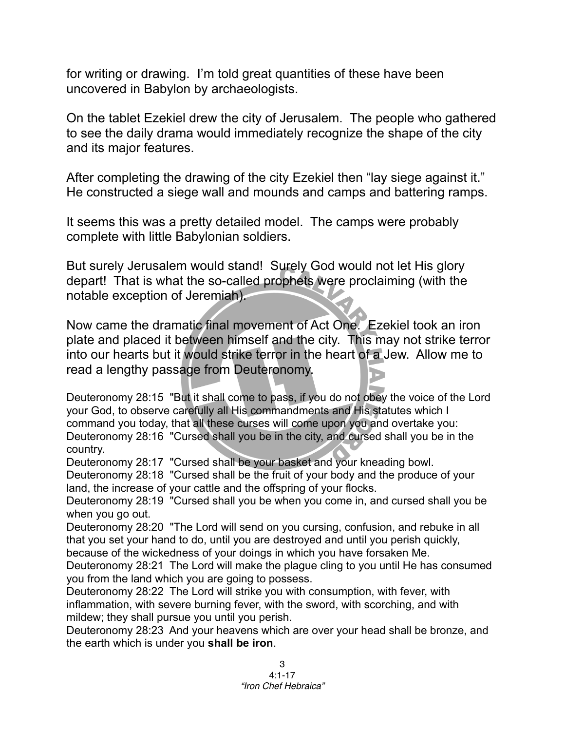for writing or drawing. I'm told great quantities of these have been uncovered in Babylon by archaeologists.

On the tablet Ezekiel drew the city of Jerusalem. The people who gathered to see the daily drama would immediately recognize the shape of the city and its major features.

After completing the drawing of the city Ezekiel then "lay siege against it." He constructed a siege wall and mounds and camps and battering ramps.

It seems this was a pretty detailed model. The camps were probably complete with little Babylonian soldiers.

But surely Jerusalem would stand! Surely God would not let His glory depart! That is what the so-called prophets were proclaiming (with the notable exception of Jeremiah).

Now came the dramatic final movement of Act One. Ezekiel took an iron plate and placed it between himself and the city. This may not strike terror into our hearts but it would strike terror in the heart of a Jew. Allow me to read a lengthy passage from Deuteronomy.

Deuteronomy 28:15 "But it shall come to pass, if you do not obey the voice of the Lord your God, to observe carefully all His commandments and His statutes which I command you today, that all these curses will come upon you and overtake you: Deuteronomy 28:16 "Cursed shall you be in the city, and cursed shall you be in the country.

Deuteronomy 28:17 "Cursed shall be your basket and your kneading bowl.

Deuteronomy 28:18 "Cursed shall be the fruit of your body and the produce of your land, the increase of your cattle and the offspring of your flocks.

Deuteronomy 28:19 "Cursed shall you be when you come in, and cursed shall you be when you go out.

Deuteronomy 28:20 "The Lord will send on you cursing, confusion, and rebuke in all that you set your hand to do, until you are destroyed and until you perish quickly, because of the wickedness of your doings in which you have forsaken Me.

Deuteronomy 28:21 The Lord will make the plague cling to you until He has consumed you from the land which you are going to possess.

Deuteronomy 28:22 The Lord will strike you with consumption, with fever, with inflammation, with severe burning fever, with the sword, with scorching, and with mildew; they shall pursue you until you perish.

Deuteronomy 28:23 And your heavens which are over your head shall be bronze, and the earth which is under you **shall be iron**.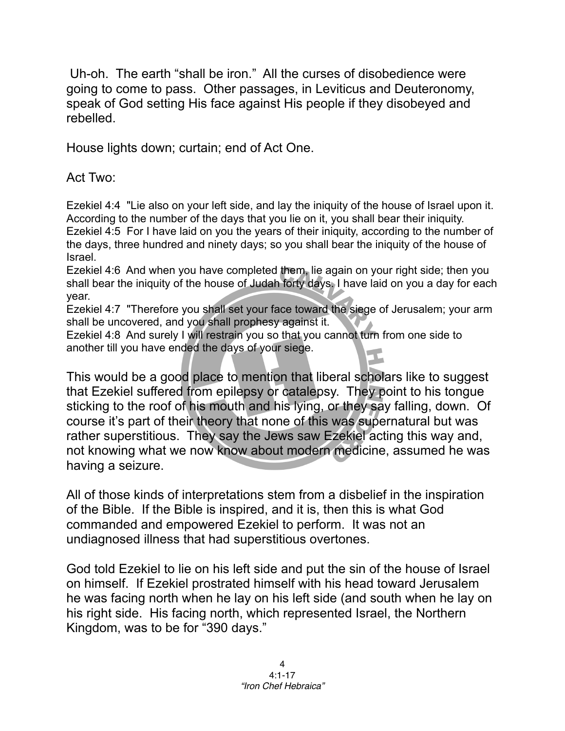Uh-oh. The earth "shall be iron." All the curses of disobedience were going to come to pass. Other passages, in Leviticus and Deuteronomy, speak of God setting His face against His people if they disobeyed and rebelled.

House lights down; curtain; end of Act One.

Act Two:

Ezekiel 4:4 "Lie also on your left side, and lay the iniquity of the house of Israel upon it. According to the number of the days that you lie on it, you shall bear their iniquity. Ezekiel 4:5 For I have laid on you the years of their iniquity, according to the number of the days, three hundred and ninety days; so you shall bear the iniquity of the house of Israel.

Ezekiel 4:6 And when you have completed them, lie again on your right side; then you shall bear the iniquity of the house of Judah forty days. I have laid on you a day for each year.

Ezekiel 4:7 "Therefore you shall set your face toward the siege of Jerusalem; your arm shall be uncovered, and you shall prophesy against it.

Ezekiel 4:8 And surely I will restrain you so that you cannot turn from one side to another till you have ended the days of your siege.

This would be a good place to mention that liberal scholars like to suggest that Ezekiel suffered from epilepsy or catalepsy. They point to his tongue sticking to the roof of his mouth and his lying, or they say falling, down. Of course it's part of their theory that none of this was supernatural but was rather superstitious. They say the Jews saw Ezekiel acting this way and, not knowing what we now know about modern medicine, assumed he was having a seizure.

All of those kinds of interpretations stem from a disbelief in the inspiration of the Bible. If the Bible is inspired, and it is, then this is what God commanded and empowered Ezekiel to perform. It was not an undiagnosed illness that had superstitious overtones.

God told Ezekiel to lie on his left side and put the sin of the house of Israel on himself. If Ezekiel prostrated himself with his head toward Jerusalem he was facing north when he lay on his left side (and south when he lay on his right side. His facing north, which represented Israel, the Northern Kingdom, was to be for "390 days."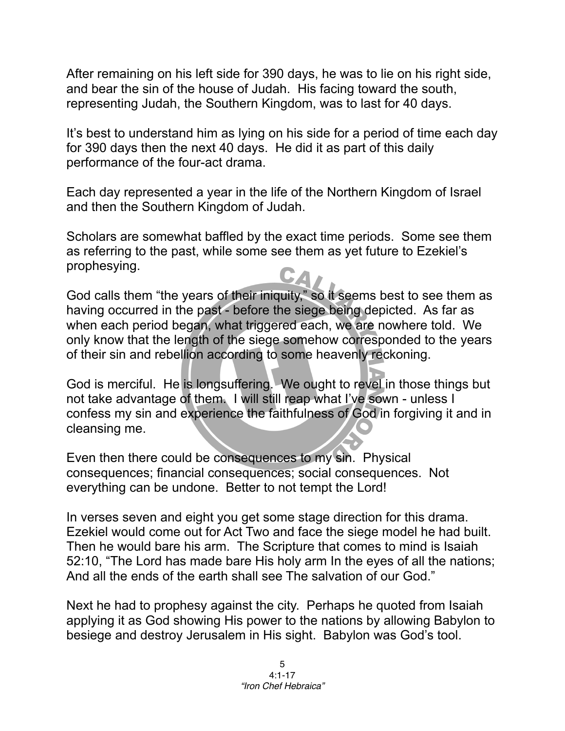After remaining on his left side for 390 days, he was to lie on his right side, and bear the sin of the house of Judah. His facing toward the south, representing Judah, the Southern Kingdom, was to last for 40 days.

It's best to understand him as lying on his side for a period of time each day for 390 days then the next 40 days. He did it as part of this daily performance of the four-act drama.

Each day represented a year in the life of the Northern Kingdom of Israel and then the Southern Kingdom of Judah.

Scholars are somewhat baffled by the exact time periods. Some see them as referring to the past, while some see them as yet future to Ezekiel's prophesying.

God calls them "the years of their iniquity," so it seems best to see them as having occurred in the past - before the siege being depicted. As far as when each period began, what triggered each, we are nowhere told. We only know that the length of the siege somehow corresponded to the years of their sin and rebellion according to some heavenly reckoning.

God is merciful. He is longsuffering. We ought to revel in those things but not take advantage of them. I will still reap what I've sown - unless I confess my sin and experience the faithfulness of God in forgiving it and in cleansing me.

Even then there could be consequences to my sin. Physical consequences; financial consequences; social consequences. Not everything can be undone. Better to not tempt the Lord!

In verses seven and eight you get some stage direction for this drama. Ezekiel would come out for Act Two and face the siege model he had built. Then he would bare his arm. The Scripture that comes to mind is Isaiah 52:10, "The Lord has made bare His holy arm In the eyes of all the nations; And all the ends of the earth shall see The salvation of our God."

Next he had to prophesy against the city. Perhaps he quoted from Isaiah applying it as God showing His power to the nations by allowing Babylon to besiege and destroy Jerusalem in His sight. Babylon was God's tool.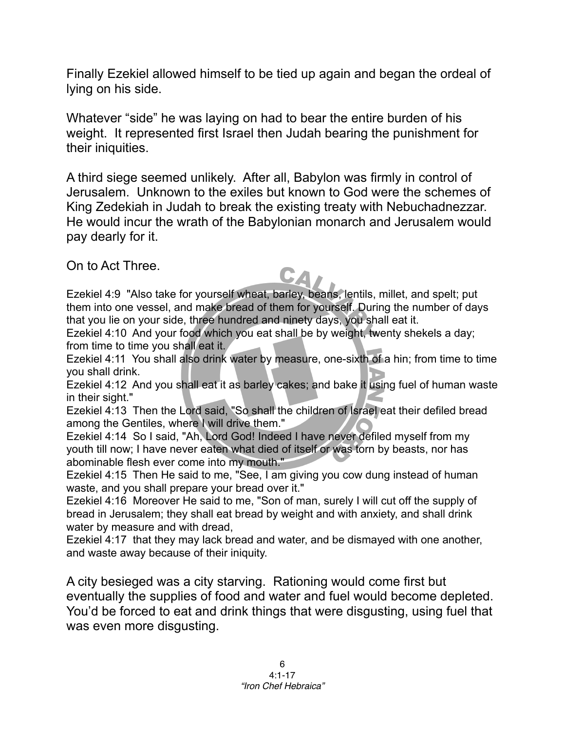Finally Ezekiel allowed himself to be tied up again and began the ordeal of lying on his side.

Whatever "side" he was laying on had to bear the entire burden of his weight. It represented first Israel then Judah bearing the punishment for their iniquities.

A third siege seemed unlikely. After all, Babylon was firmly in control of Jerusalem. Unknown to the exiles but known to God were the schemes of King Zedekiah in Judah to break the existing treaty with Nebuchadnezzar. He would incur the wrath of the Babylonian monarch and Jerusalem would pay dearly for it.

On to Act Three.

Ezekiel 4:9 "Also take for yourself wheat, barley, beans, lentils, millet, and spelt; put them into one vessel, and make bread of them for yourself. During the number of days that you lie on your side, three hundred and ninety days, you shall eat it.

Ezekiel 4:10 And your food which you eat shall be by weight, twenty shekels a day; from time to time you shall eat it.

Ezekiel 4:11 You shall also drink water by measure, one-sixth of a hin; from time to time you shall drink.

Ezekiel 4:12 And you shall eat it as barley cakes; and bake it using fuel of human waste in their sight."

Ezekiel 4:13 Then the Lord said, "So shall the children of Israel eat their defiled bread among the Gentiles, where I will drive them."

Ezekiel 4:14 So I said, "Ah, Lord God! Indeed I have never defiled myself from my youth till now; I have never eaten what died of itself or was torn by beasts, nor has abominable flesh ever come into my mouth."

Ezekiel 4:15 Then He said to me, "See, I am giving you cow dung instead of human waste, and you shall prepare your bread over it."

Ezekiel 4:16 Moreover He said to me, "Son of man, surely I will cut off the supply of bread in Jerusalem; they shall eat bread by weight and with anxiety, and shall drink water by measure and with dread,

Ezekiel 4:17 that they may lack bread and water, and be dismayed with one another, and waste away because of their iniquity.

A city besieged was a city starving. Rationing would come first but eventually the supplies of food and water and fuel would become depleted. You'd be forced to eat and drink things that were disgusting, using fuel that was even more disgusting.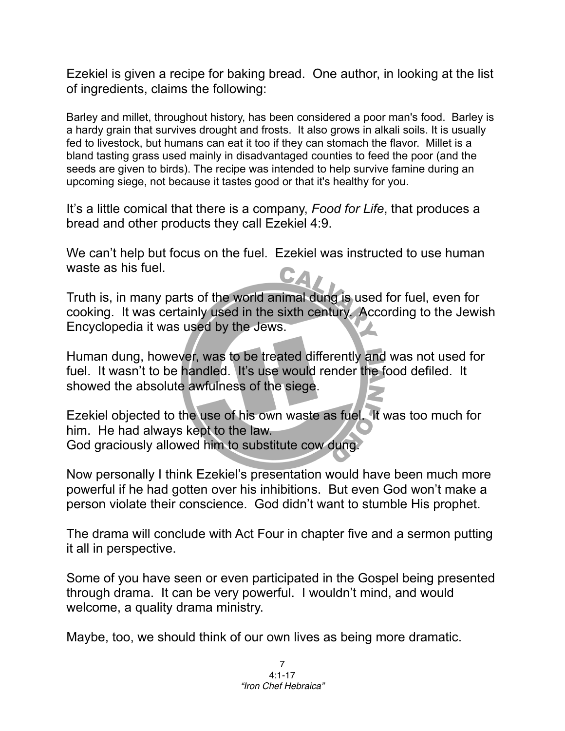Ezekiel is given a recipe for baking bread. One author, in looking at the list of ingredients, claims the following:

Barley and millet, throughout history, has been considered a poor man's food. Barley is a hardy grain that survives drought and frosts. It also grows in alkali soils. It is usually fed to livestock, but humans can eat it too if they can stomach the flavor. Millet is a bland tasting grass used mainly in disadvantaged counties to feed the poor (and the seeds are given to birds). The recipe was intended to help survive famine during an upcoming siege, not because it tastes good or that it's healthy for you.

It's a little comical that there is a company, *Food for Life*, that produces a bread and other products they call Ezekiel 4:9.

We can't help but focus on the fuel. Ezekiel was instructed to use human waste as his fuel.

Truth is, in many parts of the world animal dung is used for fuel, even for cooking. It was certainly used in the sixth century. According to the Jewish Encyclopedia it was used by the Jews.

Human dung, however, was to be treated differently and was not used for fuel. It wasn't to be handled. It's use would render the food defiled. It showed the absolute awfulness of the siege.

Ezekiel objected to the use of his own waste as fuel. It was too much for him. He had always kept to the law. God graciously allowed him to substitute cow dung.

Now personally I think Ezekiel's presentation would have been much more powerful if he had gotten over his inhibitions. But even God won't make a person violate their conscience. God didn't want to stumble His prophet.

The drama will conclude with Act Four in chapter five and a sermon putting it all in perspective.

Some of you have seen or even participated in the Gospel being presented through drama. It can be very powerful. I wouldn't mind, and would welcome, a quality drama ministry.

Maybe, too, we should think of our own lives as being more dramatic.